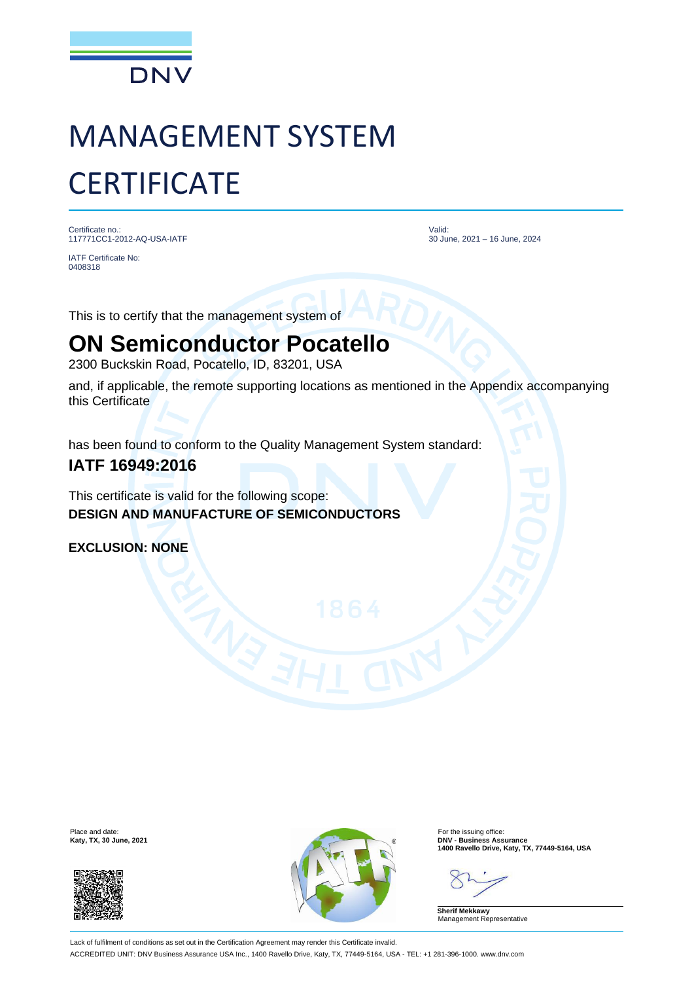

# MANAGEMENT SYSTEM **CERTIFICATE**

Certificate no.: 117771CC1-2012-AQ-USA-IATF

IATF Certificate No: 0408318

Valid: 30 June, 2021 – 16 June, 2024

This is to certify that the management system of

## **ON Semiconductor Pocatello**

2300 Buckskin Road, Pocatello, ID, 83201, USA

and, if applicable, the remote supporting locations as mentioned in the Appendix accompanying this Certificate

has been found to conform to the Quality Management System standard:

### **IATF 16949:2016**

This certificate is valid for the following scope: **DESIGN AND MANUFACTURE OF SEMICONDUCTORS**

**EXCLUSION: NONE**





**Katy, TX, 30 June, 2021 DNV - Business Assurance**<br>
1400 Ravello Drive, Katy, TX, 77449-5164, USA<br>
2021

**Sherif Mekkawy** Management Representative

Lack of fulfilment of conditions as set out in the Certification Agreement may render this Certificate invalid. ACCREDITED UNIT: DNV Business Assurance USA Inc., 1400 Ravello Drive, Katy, TX, 77449-5164, USA - TEL: +1 281-396-1000. www.dnv.com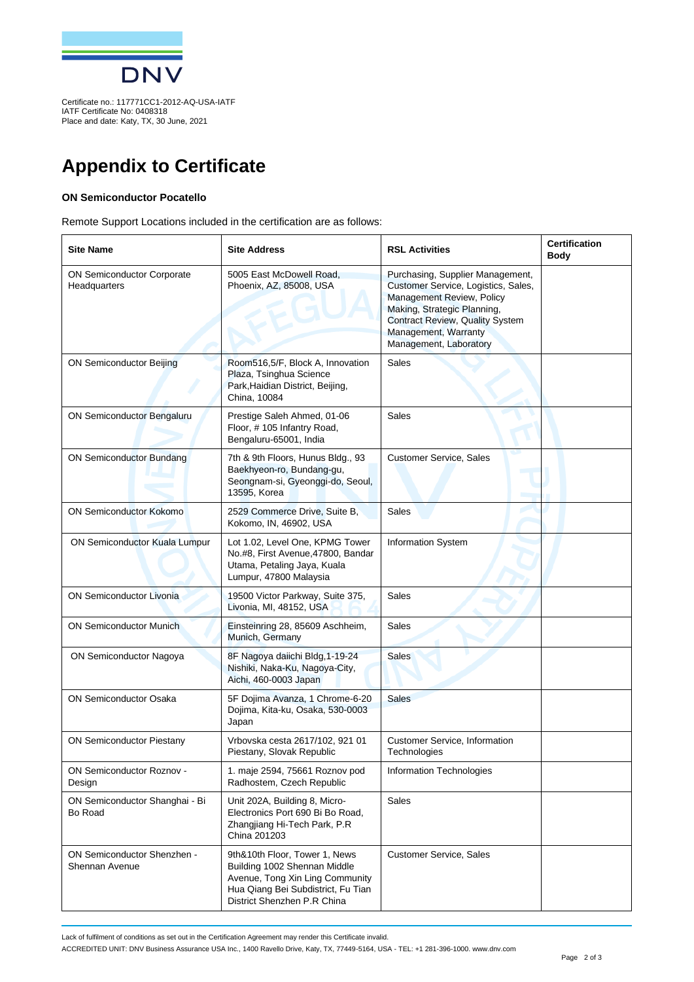

IATF Certificate No: 0408318 Place and date: Katy, TX, 30 June, 2021

## **Appendix to Certificate**

#### **ON Semiconductor Pocatello**

Remote Support Locations included in the certification are as follows:

| <b>Site Name</b>                                  | <b>Site Address</b>                                                                                                                                                   | <b>RSL Activities</b>                                                                                                                                                                                                           | <b>Certification</b><br>Body |
|---------------------------------------------------|-----------------------------------------------------------------------------------------------------------------------------------------------------------------------|---------------------------------------------------------------------------------------------------------------------------------------------------------------------------------------------------------------------------------|------------------------------|
| <b>ON Semiconductor Corporate</b><br>Headquarters | 5005 East McDowell Road.<br>Phoenix, AZ, 85008, USA                                                                                                                   | Purchasing, Supplier Management,<br>Customer Service, Logistics, Sales,<br>Management Review, Policy<br>Making, Strategic Planning,<br><b>Contract Review, Quality System</b><br>Management, Warranty<br>Management, Laboratory |                              |
| <b>ON Semiconductor Beijing</b>                   | Room516,5/F, Block A, Innovation<br>Plaza, Tsinghua Science<br>Park, Haidian District, Beijing,<br>China, 10084                                                       | Sales                                                                                                                                                                                                                           |                              |
| ON Semiconductor Bengaluru                        | Prestige Saleh Ahmed, 01-06<br>Floor, #105 Infantry Road,<br>Bengaluru-65001, India                                                                                   | Sales                                                                                                                                                                                                                           |                              |
| <b>ON Semiconductor Bundang</b>                   | 7th & 9th Floors, Hunus Bldg., 93<br>Baekhyeon-ro, Bundang-gu,<br>Seongnam-si, Gyeonggi-do, Seoul,<br>13595, Korea                                                    | <b>Customer Service, Sales</b>                                                                                                                                                                                                  |                              |
| <b>ON Semiconductor Kokomo</b>                    | 2529 Commerce Drive, Suite B,<br>Kokomo, IN, 46902, USA                                                                                                               | Sales                                                                                                                                                                                                                           |                              |
| ON Semiconductor Kuala Lumpur                     | Lot 1.02, Level One, KPMG Tower<br>No.#8, First Avenue, 47800, Bandar<br>Utama, Petaling Jaya, Kuala<br>Lumpur, 47800 Malaysia                                        | <b>Information System</b>                                                                                                                                                                                                       |                              |
| <b>ON Semiconductor Livonia</b>                   | 19500 Victor Parkway, Suite 375,<br>Livonia, MI, 48152, USA                                                                                                           | <b>Sales</b>                                                                                                                                                                                                                    |                              |
| <b>ON Semiconductor Munich</b>                    | Einsteinring 28, 85609 Aschheim,<br>Munich, Germany                                                                                                                   | Sales                                                                                                                                                                                                                           |                              |
| ON Semiconductor Nagoya                           | 8F Nagoya daiichi Bldg, 1-19-24<br>Nishiki, Naka-Ku, Nagoya-City,<br>Aichi, 460-0003 Japan                                                                            | <b>Sales</b>                                                                                                                                                                                                                    |                              |
| <b>ON Semiconductor Osaka</b>                     | 5F Dojima Avanza, 1 Chrome-6-20<br>Dojima, Kita-ku, Osaka, 530-0003<br>Japan                                                                                          | <b>Sales</b>                                                                                                                                                                                                                    |                              |
| <b>ON Semiconductor Piestany</b>                  | Vrbovska cesta 2617/102, 921 01<br>Piestany, Slovak Republic                                                                                                          | <b>Customer Service, Information</b><br>Technologies                                                                                                                                                                            |                              |
| <b>ON Semiconductor Roznov -</b><br>Design        | 1. maje 2594, 75661 Roznov pod<br>Radhostem, Czech Republic                                                                                                           | <b>Information Technologies</b>                                                                                                                                                                                                 |                              |
| ON Semiconductor Shanghai - Bi<br>Bo Road         | Unit 202A, Building 8, Micro-<br>Electronics Port 690 Bi Bo Road.<br>Zhangjiang Hi-Tech Park, P.R<br>China 201203                                                     | Sales                                                                                                                                                                                                                           |                              |
| ON Semiconductor Shenzhen -<br>Shennan Avenue     | 9th&10th Floor, Tower 1, News<br>Building 1002 Shennan Middle<br>Avenue, Tong Xin Ling Community<br>Hua Qiang Bei Subdistrict, Fu Tian<br>District Shenzhen P.R China | <b>Customer Service, Sales</b>                                                                                                                                                                                                  |                              |

Lack of fulfilment of conditions as set out in the Certification Agreement may render this Certificate invalid.

ACCREDITED UNIT: DNV Business Assurance USA Inc., 1400 Ravello Drive, Katy, TX, 77449-5164, USA - TEL: +1 281-396-1000. www.dnv.com